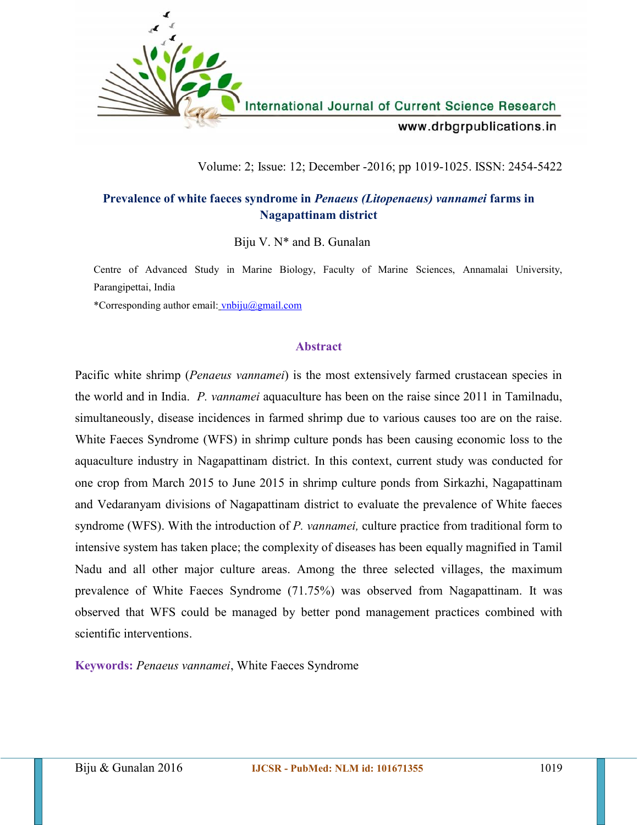

# Volume: 2; Issue: 12; December -2016; pp 1019-1025. ISSN: 2454-5422

# **Prevalence of white faeces syndrome in** *Penaeus (Litopenaeus) vannamei* **farms in Nagapattinam district**

Biju V.  $N^*$  and B. Gunalan

Centre of Advanced Study in Marine Biology, Faculty of Marine Sciences, Annamalai University, Parangipettai, India

\*Corresponding author email: vnbiju@gmail.com

# **Abstract**

Pacific white shrimp (*Penaeus vannamei*) is the most extensively farmed crustacean species in the world and in India. *P. vannamei* aquaculture has been on the raise since 2011 in Tamilnadu, simultaneously, disease incidences in farmed shrimp due to various causes too are on the raise. White Faeces Syndrome (WFS) in shrimp culture ponds has been causing economic loss to the aquaculture industry in Nagapattinam district. In this context, current study was conducted for one crop from March 2015 to June 2015 in shrimp culture ponds from Sirkazhi, Nagapattinam and Vedaranyam divisions of Nagapattinam district to evaluate the prevalence of White faeces syndrome (WFS). With the introduction of *P. vannamei,* culture practice from traditional form to intensive system has taken place; the complexity of diseases has been equally magnified in Tamil Nadu and all other major culture areas. Among the three selected villages, the maximum prevalence of White Faeces Syndrome (71.75%) was observed from Nagapattinam. It was observed that WFS could be managed by better pond management practices combined with scientific interventions.

**Keywords:** *Penaeus vannamei*, White Faeces Syndrome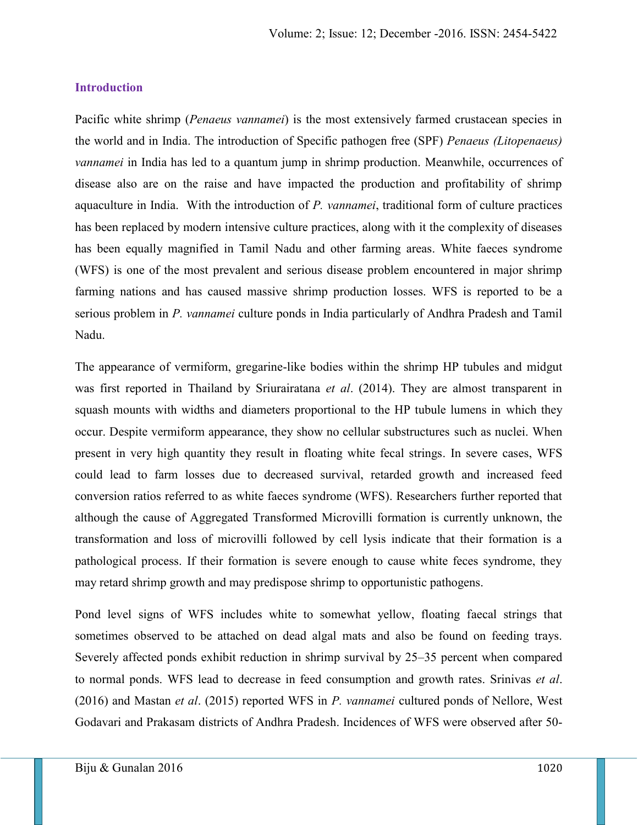### **Introduction**

Pacific white shrimp (*Penaeus vannamei*) is the most extensively farmed crustacean species in the world and in India. The introduction of Specific pathogen free (SPF) *Penaeus (Litopenaeus) vannamei* in India has led to a quantum jump in shrimp production. Meanwhile, occurrences of disease also are on the raise and have impacted the production and profitability of shrimp aquaculture in India. With the introduction of *P. vannamei*, traditional form of culture practices has been replaced by modern intensive culture practices, along with it the complexity of diseases has been equally magnified in Tamil Nadu and other farming areas. White faeces syndrome (WFS) is one of the most prevalent and serious disease problem encountered in major shrimp farming nations and has caused massive shrimp production losses. WFS is reported to be a serious problem in *P. vannamei* culture ponds in India particularly of Andhra Pradesh and Tamil Nadu.

The appearance of vermiform, gregarine-like bodies within the shrimp HP tubules and midgut was first reported in Thailand by Sriurairatana *et al*. (2014). They are almost transparent in squash mounts with widths and diameters proportional to the HP tubule lumens in which they occur. Despite vermiform appearance, they show no cellular substructures such as nuclei. When present in very high quantity they result in floating white fecal strings. In severe cases, WFS could lead to farm losses due to decreased survival, retarded growth and increased feed conversion ratios referred to as white faeces syndrome (WFS). Researchers further reported that although the cause of Aggregated Transformed Microvilli formation is currently unknown, the transformation and loss of microvilli followed by cell lysis indicate that their formation is a pathological process. If their formation is severe enough to cause white feces syndrome, they may retard shrimp growth and may predispose shrimp to opportunistic pathogens.

Pond level signs of WFS includes white to somewhat yellow, floating faecal strings that sometimes observed to be attached on dead algal mats and also be found on feeding trays. Severely affected ponds exhibit reduction in shrimp survival by 25–35 percent when compared to normal ponds. WFS lead to decrease in feed consumption and growth rates. Srinivas *et al*. (2016) and Mastan *et al*. (2015) reported WFS in *P. vannamei* cultured ponds of Nellore, West Godavari and Prakasam districts of Andhra Pradesh. Incidences of WFS were observed after 50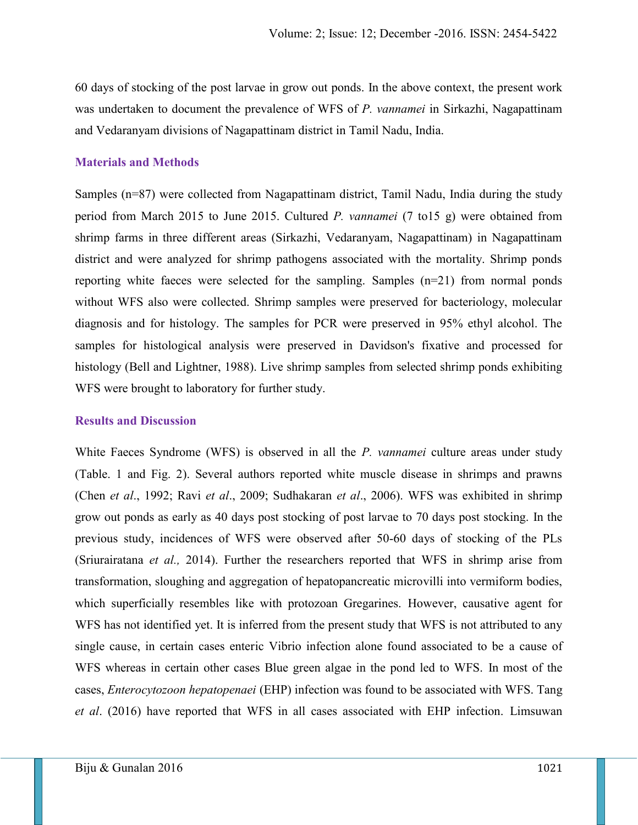60 days of stocking of the post larvae in grow out ponds. In the above context, the present work was undertaken to document the prevalence of WFS of *P. vannamei* in Sirkazhi, Nagapattinam and Vedaranyam divisions of Nagapattinam district in Tamil Nadu, India.

# **Materials and Methods**

Samples (n=87) were collected from Nagapattinam district, Tamil Nadu, India during the study period from March 2015 to June 2015. Cultured *P. vannamei* (7 to15 g)were obtained from shrimp farms in three different areas (Sirkazhi, Vedaranyam, Nagapattinam) in Nagapattinam district and were analyzed for shrimp pathogens associated with the mortality. Shrimp ponds reporting white faeces were selected for the sampling. Samples (n=21) from normal ponds without WFS also were collected. Shrimp samples were preserved for bacteriology, molecular diagnosis and for histology. The samples for PCR were preserved in 95% ethyl alcohol. The samples for histological analysis were preserved in Davidson's fixative and processed for histology (Bell and Lightner, 1988). Live shrimp samples from selected shrimp ponds exhibiting WFS were brought to laboratory for further study.

# **Results and Discussion**

White Faeces Syndrome (WFS) is observed in all the *P. vannamei* culture areas under study (Table. 1 and Fig. 2). Several authors reported white muscle disease in shrimps and prawns (Chen *et al*., 1992; Ravi *et al*., 2009; Sudhakaran *et al*., 2006). WFS was exhibited in shrimp grow out ponds as early as 40 days post stocking of post larvae to 70 days post stocking. In the previous study, incidences of WFS were observed after 50-60 days of stocking of the PLs (Sriurairatana *et al.,* 2014). Further the researchers reported that WFS in shrimp arise from transformation, sloughing and aggregation of hepatopancreatic microvilli into vermiform bodies, which superficially resembles like with protozoan Gregarines. However, causative agent for WFS has not identified yet. It is inferred from the present study that WFS is not attributed to any single cause, in certain cases enteric Vibrio infection alone found associated to be a cause of WFS whereas in certain other cases Blue green algae in the pond led to WFS. In most of the cases, *Enterocytozoon hepatopenaei* (EHP) infection was found to be associated with WFS. Tang *et al*. (2016) have reported that WFS in all cases associated with EHP infection. Limsuwan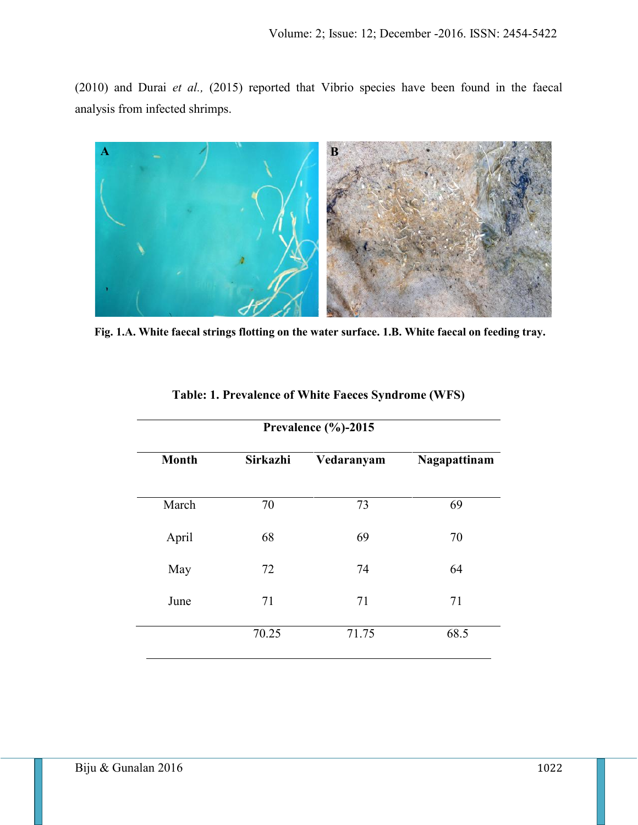(2010) and Durai *et al.,* (2015) reported that Vibrio species have been found in the faecal analysis from infected shrimps.



**Fig. 1.A. White faecal strings flotting on the water surface. 1.B. White faecal on feeding tray.**

|              | Prevalence $(\% )$ -2015 |            |              |
|--------------|--------------------------|------------|--------------|
| <b>Month</b> | Sirkazhi                 | Vedaranyam | Nagapattinam |
| March        | 70                       | 73         | 69           |
| April        | 68                       | 69         | 70           |
| May          | 72                       | 74         | 64           |
| June         | 71                       | 71         | 71           |
|              | 70.25                    | 71.75      | 68.5         |
|              |                          |            |              |

| <b>Table: 1. Prevalence of White Faeces Syndrome (WFS)</b> |  |
|------------------------------------------------------------|--|
|------------------------------------------------------------|--|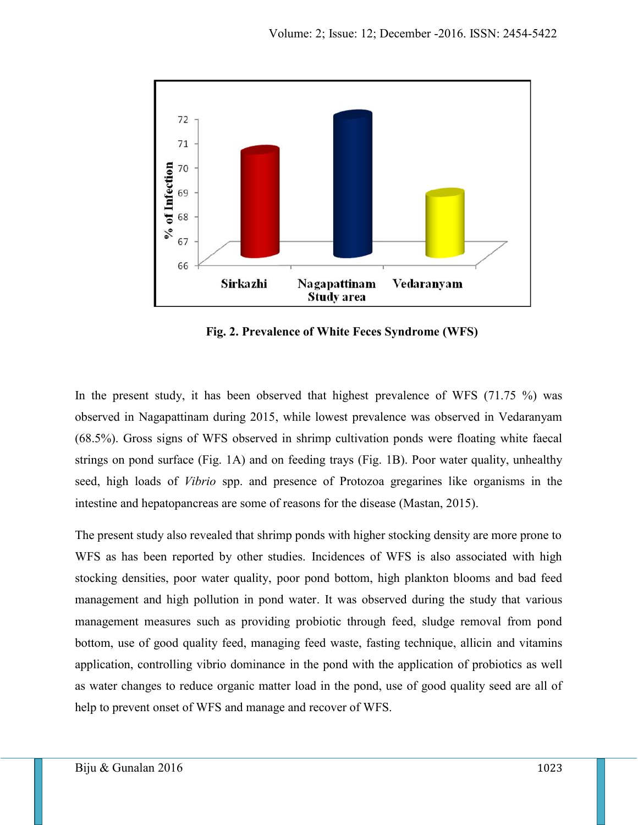

**Fig. 2. Prevalence of White Feces Syndrome (WFS)**

In the present study, it has been observed that highest prevalence of WFS (71.75 %) was observed in Nagapattinam during 2015, while lowest prevalence was observed in Vedaranyam (68.5%). Gross signs of WFS observed in shrimp cultivation ponds were floating white faecal strings on pond surface (Fig. 1A) and on feeding trays (Fig. 1B). Poor water quality, unhealthy seed, high loads of *Vibrio* spp. and presence of Protozoa gregarines like organisms in the intestine and hepatopancreas are some of reasons for the disease (Mastan, 2015).

The present study also revealed that shrimp ponds with higher stocking density are more prone to WFS as has been reported by other studies. Incidences of WFS is also associated with high stocking densities, poor water quality, poor pond bottom, high plankton blooms and bad feed management and high pollution in pond water. It was observed during the study that various management measures such as providing probiotic through feed, sludge removal from pond bottom, use of good quality feed, managing feed waste, fasting technique, allicin and vitamins application, controlling vibrio dominance in the pond with the application of probiotics as well as water changes to reduce organic matter load in the pond, use of good quality seed are all of help to prevent onset of WFS and manage and recover of WFS.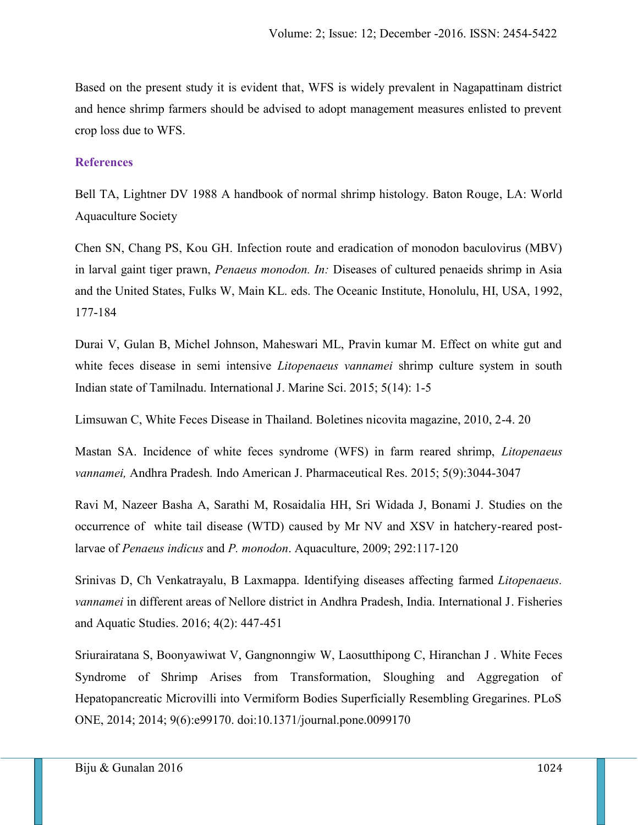Based on the present study it is evident that, WFS is widely prevalent in Nagapattinam district and hence shrimp farmers should be advised to adopt management measures enlisted to prevent crop loss due to WFS.

# **References**

Bell TA, Lightner DV 1988 A handbook of normal shrimp histology. Baton Rouge, LA: World Aquaculture Society

Chen SN, Chang PS, Kou GH. Infection route and eradication of monodon baculovirus (MBV) in larval gaint tiger prawn, *Penaeus monodon. In:* Diseases of cultured penaeids shrimp in Asia and the United States, Fulks W, Main KL. eds. The Oceanic Institute, Honolulu, HI, USA, 1992, 177-184

Durai V, Gulan B, Michel Johnson, Maheswari ML, Pravin kumar M. Effect on white gut and white feces disease in semi intensive *Litopenaeus vannamei* shrimp culture system in south Indian state of Tamilnadu. International J. Marine Sci. 2015; 5(14): 1-5

Limsuwan C, White Feces Disease in Thailand. Boletines nicovita magazine, 2010, 2-4. 20

Mastan SA. Incidence of white feces syndrome (WFS) in farm reared shrimp, *Litopenaeus vannamei,* Andhra Pradesh*.* Indo American J. Pharmaceutical Res. 2015; 5(9):3044-3047

Ravi M, Nazeer Basha A, Sarathi M, Rosaidalia HH, Sri Widada J, Bonami J*.* Studies on the occurrence of white tail disease (WTD) caused by Mr NV and XSV in hatchery-reared postlarvae of *Penaeus indicus* and *P. monodon*. Aquaculture, 2009; 292:117-120

Srinivas D, Ch Venkatrayalu, B Laxmappa. Identifying diseases affecting farmed *Litopenaeus. vannamei* in different areas of Nellore district in Andhra Pradesh, India. International J. Fisheries and Aquatic Studies. 2016; 4(2): 447-451

Sriurairatana S, Boonyawiwat V, Gangnonngiw W, Laosutthipong C, Hiranchan J . White Feces Syndrome of Shrimp Arises from Transformation, Sloughing and Aggregation of Hepatopancreatic Microvilli into Vermiform Bodies Superficially Resembling Gregarines. PLoS ONE, 2014; 2014; 9(6):e99170. doi:10.1371/journal.pone.0099170